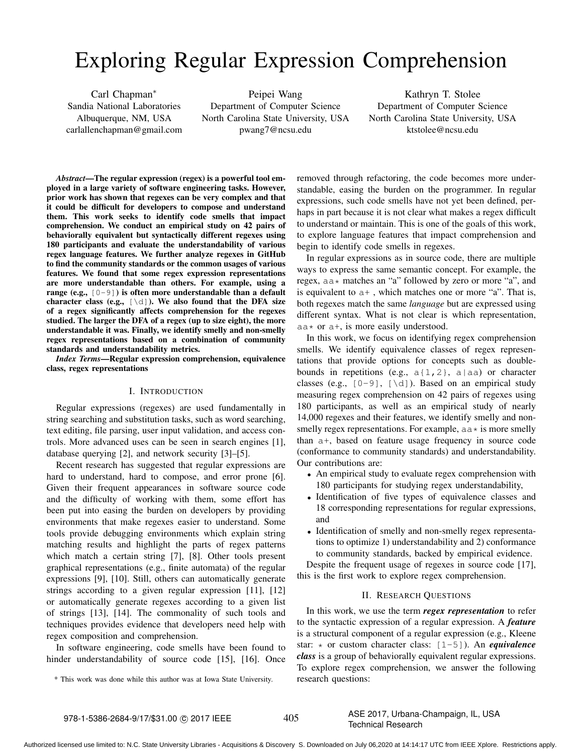## Exploring Regular Expression Comprehension

Carl Chapman∗ Sandia National Laboratories Albuquerque, NM, USA carlallenchapman@gmail.com

Peipei Wang Department of Computer Science North Carolina State University, USA pwang7@ncsu.edu

Kathryn T. Stolee Department of Computer Science North Carolina State University, USA ktstolee@ncsu.edu

*Abstract*—The regular expression (regex) is a powerful tool employed in a large variety of software engineering tasks. However, prior work has shown that regexes can be very complex and that it could be difficult for developers to compose and understand them. This work seeks to identify code smells that impact comprehension. We conduct an empirical study on 42 pairs of behaviorally equivalent but syntactically different regexes using 180 participants and evaluate the understandability of various regex language features. We further analyze regexes in GitHub to find the community standards or the common usages of various features. We found that some regex expression representations are more understandable than others. For example, using a range (e.g.,  $[0-9]$ ) is often more understandable than a default character class (e.g.,  $[\ddot{\ddot{\alpha}}]$ ). We also found that the DFA size of a regex significantly affects comprehension for the regexes studied. The larger the DFA of a regex (up to size eight), the more understandable it was. Finally, we identify smelly and non-smelly regex representations based on a combination of community standards and understandability metrics.

*Index Terms*—Regular expression comprehension, equivalence class, regex representations

#### I. INTRODUCTION

Regular expressions (regexes) are used fundamentally in string searching and substitution tasks, such as word searching, text editing, file parsing, user input validation, and access controls. More advanced uses can be seen in search engines [1], database querying [2], and network security [3]–[5].

Recent research has suggested that regular expressions are hard to understand, hard to compose, and error prone [6]. Given their frequent appearances in software source code and the difficulty of working with them, some effort has been put into easing the burden on developers by providing environments that make regexes easier to understand. Some tools provide debugging environments which explain string matching results and highlight the parts of regex patterns which match a certain string [7], [8]. Other tools present graphical representations (e.g., finite automata) of the regular expressions [9], [10]. Still, others can automatically generate strings according to a given regular expression [11], [12] or automatically generate regexes according to a given list of strings [13], [14]. The commonality of such tools and techniques provides evidence that developers need help with regex composition and comprehension.

In software engineering, code smells have been found to hinder understandability of source code [15], [16]. Once

\* This work was done while this author was at Iowa State University.

removed through refactoring, the code becomes more understandable, easing the burden on the programmer. In regular expressions, such code smells have not yet been defined, perhaps in part because it is not clear what makes a regex difficult to understand or maintain. This is one of the goals of this work, to explore language features that impact comprehension and begin to identify code smells in regexes.

In regular expressions as in source code, there are multiple ways to express the same semantic concept. For example, the regex,  $aa*$  matches an "a" followed by zero or more "a", and is equivalent to a+ , which matches one or more "a". That is, both regexes match the same *language* but are expressed using different syntax. What is not clear is which representation,  $aa*$  or  $a+$ , is more easily understood.

In this work, we focus on identifying regex comprehension smells. We identify equivalence classes of regex representations that provide options for concepts such as doublebounds in repetitions (e.g.,  $a\{1,2\}$ ,  $a|aa$ ) or character classes (e.g.,  $[0-9]$ ,  $[\ddot{\text{d}}]$ ). Based on an empirical study measuring regex comprehension on 42 pairs of regexes using 180 participants, as well as an empirical study of nearly 14,000 regexes and their features, we identify smelly and nonsmelly regex representations. For example,  $aa *$  is more smelly than a+, based on feature usage frequency in source code (conformance to community standards) and understandability. Our contributions are:

- An empirical study to evaluate regex comprehension with 180 participants for studying regex understandability,
- Identification of five types of equivalence classes and 18 corresponding representations for regular expressions, and
- Identification of smelly and non-smelly regex representations to optimize 1) understandability and 2) conformance to community standards, backed by empirical evidence.

Despite the frequent usage of regexes in source code [17], this is the first work to explore regex comprehension.

## II. RESEARCH QUESTIONS

In this work, we use the term *regex representation* to refer to the syntactic expression of a regular expression. A *feature* is a structural component of a regular expression (e.g., Kleene star: \* or custom character class: [1-5]). An *equivalence class* is a group of behaviorally equivalent regular expressions. To explore regex comprehension, we answer the following research questions:

# C 2017 IEEE 405 ASE 2017, Urbana-Champaign, IL, USA<br>Technical Research

Authorized licensed use limited to: N.C. State University Libraries - Acquisitions & Discovery S. Downloaded on July 06,2020 at 14:14:17 UTC from IEEE Xplore. Restrictions apply.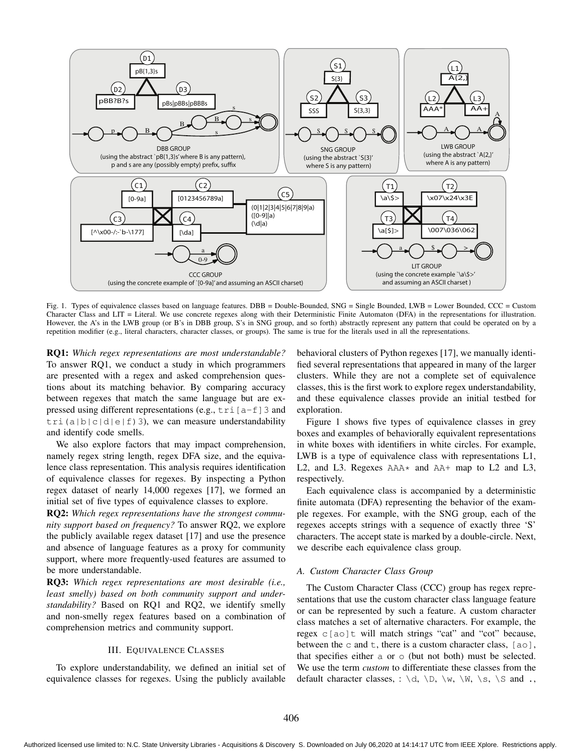

Fig. 1. Types of equivalence classes based on language features. DBB = Double-Bounded, SNG = Single Bounded, LWB = Lower Bounded, CCC = Custom Character Class and LIT = Literal. We use concrete regexes along with their Deterministic Finite Automaton (DFA) in the representations for illustration. However, the A's in the LWB group (or B's in DBB group, S's in SNG group, and so forth) abstractly represent any pattern that could be operated on by a repetition modifier (e.g., literal characters, character classes, or groups). The same is true for the literals used in all the representations.

RQ1: *Which regex representations are most understandable?* To answer RQ1, we conduct a study in which programmers are presented with a regex and asked comprehension questions about its matching behavior. By comparing accuracy between regexes that match the same language but are expressed using different representations (e.g.,  $tri[a-f]3$  and tri(a|b|c|d|e|f)3), we can measure understandability and identify code smells.

We also explore factors that may impact comprehension, namely regex string length, regex DFA size, and the equivalence class representation. This analysis requires identification of equivalence classes for regexes. By inspecting a Python regex dataset of nearly 14,000 regexes [17], we formed an initial set of five types of equivalence classes to explore.

RQ2: *Which regex representations have the strongest community support based on frequency?* To answer RQ2, we explore the publicly available regex dataset [17] and use the presence and absence of language features as a proxy for community support, where more frequently-used features are assumed to be more understandable.

RQ3: *Which regex representations are most desirable (i.e., least smelly) based on both community support and understandability?* Based on RQ1 and RQ2, we identify smelly and non-smelly regex features based on a combination of comprehension metrics and community support.

#### III. EQUIVALENCE CLASSES

To explore understandability, we defined an initial set of equivalence classes for regexes. Using the publicly available

behavioral clusters of Python regexes [17], we manually identified several representations that appeared in many of the larger clusters. While they are not a complete set of equivalence classes, this is the first work to explore regex understandability, and these equivalence classes provide an initial testbed for exploration.

Figure 1 shows five types of equivalence classes in grey boxes and examples of behaviorally equivalent representations in white boxes with identifiers in white circles. For example, LWB is a type of equivalence class with representations L1, L2, and L3. Regexes  $AAA*$  and  $AA+$  map to L2 and L3, respectively.

Each equivalence class is accompanied by a deterministic finite automata (DFA) representing the behavior of the example regexes. For example, with the SNG group, each of the regexes accepts strings with a sequence of exactly three 'S' characters. The accept state is marked by a double-circle. Next, we describe each equivalence class group.

## *A. Custom Character Class Group*

The Custom Character Class (CCC) group has regex representations that use the custom character class language feature or can be represented by such a feature. A custom character class matches a set of alternative characters. For example, the regex c[ao]t will match strings "cat" and "cot" because, between the  $\circ$  and  $\circ$ , there is a custom character class, [ao], that specifies either a or o (but not both) must be selected. We use the term *custom* to differentiate these classes from the default character classes, :  $\dagger d$ ,  $\Delta \wedge \mathbb{W}$ ,  $\wedge \mathbb{W}$ ,  $\wedge$  s,  $\wedge$  s and .,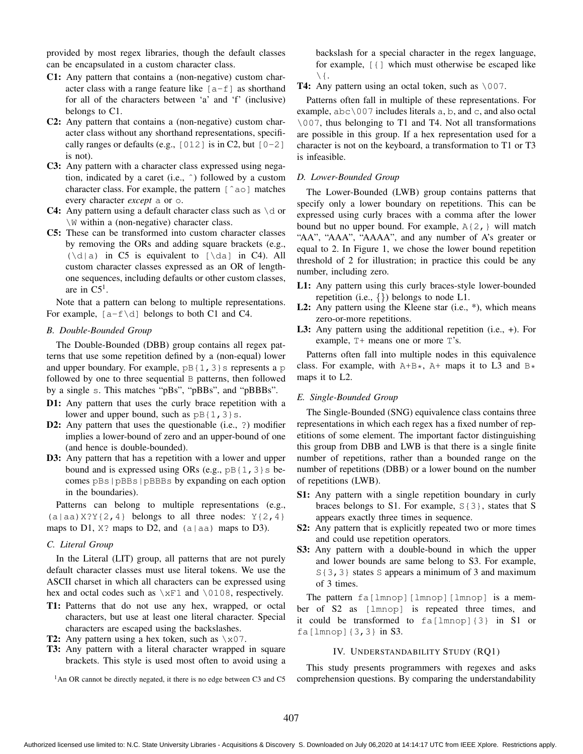provided by most regex libraries, though the default classes can be encapsulated in a custom character class.

- C1: Any pattern that contains a (non-negative) custom character class with a range feature like  $[a-f]$  as shorthand for all of the characters between 'a' and 'f' (inclusive) belongs to C1.
- C2: Any pattern that contains a (non-negative) custom character class without any shorthand representations, specifically ranges or defaults (e.g.,  $[012]$  is in C2, but  $[0-2]$ is not).
- C3: Any pattern with a character class expressed using negation, indicated by a caret (i.e., ˆ) followed by a custom character class. For example, the pattern [ˆao] matches every character *except* a or o.
- **C4:** Any pattern using a default character class such as  $\dagger$  or \W within a (non-negative) character class.
- C5: These can be transformed into custom character classes by removing the ORs and adding square brackets (e.g.,  $(\dagger a)$  in C5 is equivalent to  $[\dagger a]$  in C4). All custom character classes expressed as an OR of lengthone sequences, including defaults or other custom classes, are in  $C5<sup>1</sup>$ .

Note that a pattern can belong to multiple representations. For example,  $[a-f\ddot{\,}]$  belongs to both C1 and C4.

## *B. Double-Bounded Group*

The Double-Bounded (DBB) group contains all regex patterns that use some repetition defined by a (non-equal) lower and upper boundary. For example,  $pB{1, 3}$ s represents a p followed by one to three sequential B patterns, then followed by a single s. This matches "pBs", "pBBs", and "pBBBs".

- D1: Any pattern that uses the curly brace repetition with a lower and upper bound, such as  $pB{1, 3}$ s.
- D2: Any pattern that uses the questionable (i.e., ?) modifier implies a lower-bound of zero and an upper-bound of one (and hence is double-bounded).
- D3: Any pattern that has a repetition with a lower and upper bound and is expressed using ORs (e.g.,  $pB{1, 3}$ s becomes pBs|pBBs|pBBBs by expanding on each option in the boundaries).

Patterns can belong to multiple representations (e.g.,  $(a|aa)XYY{2, 4}$  belongs to all three nodes:  $Y{2, 4}$ maps to D1,  $X$ ? maps to D2, and (a|aa) maps to D3).

#### *C. Literal Group*

In the Literal (LIT) group, all patterns that are not purely default character classes must use literal tokens. We use the ASCII charset in which all characters can be expressed using hex and octal codes such as  $\xF1$  and  $\0108$ , respectively.

- T1: Patterns that do not use any hex, wrapped, or octal characters, but use at least one literal character. Special characters are escaped using the backslashes.
- **T2:** Any pattern using a hex token, such as  $\x07$ .
- T3: Any pattern with a literal character wrapped in square brackets. This style is used most often to avoid using a

<sup>1</sup>An OR cannot be directly negated, it there is no edge between C3 and C5

backslash for a special character in the regex language, for example, [{] which must otherwise be escaped like  $\setminus$  {.

## T4: Any pattern using an octal token, such as  $\setminus 007$ .

Patterns often fall in multiple of these representations. For example,  $abc \ 007$  includes literals a, b, and c, and also octal \007, thus belonging to T1 and T4. Not all transformations are possible in this group. If a hex representation used for a character is not on the keyboard, a transformation to T1 or T3 is infeasible.

#### *D. Lower-Bounded Group*

The Lower-Bounded (LWB) group contains patterns that specify only a lower boundary on repetitions. This can be expressed using curly braces with a comma after the lower bound but no upper bound. For example,  $A\{2, \}$  will match "AA", "AAA", "AAAA", and any number of A's greater or equal to 2. In Figure 1, we chose the lower bound repetition threshold of 2 for illustration; in practice this could be any number, including zero.

- L1: Any pattern using this curly braces-style lower-bounded repetition (i.e.,  $\{\}$ ) belongs to node L1.
- L2: Any pattern using the Kleene star (i.e.,  $*$ ), which means zero-or-more repetitions.
- L3: Any pattern using the additional repetition (i.e., +). For example, T+ means one or more T's.

Patterns often fall into multiple nodes in this equivalence class. For example, with  $A+B*$ ,  $A+$  maps it to L3 and  $B*$ maps it to L2.

#### *E. Single-Bounded Group*

The Single-Bounded (SNG) equivalence class contains three representations in which each regex has a fixed number of repetitions of some element. The important factor distinguishing this group from DBB and LWB is that there is a single finite number of repetitions, rather than a bounded range on the number of repetitions (DBB) or a lower bound on the number of repetitions (LWB).

- S1: Any pattern with a single repetition boundary in curly braces belongs to S1. For example, S{3}, states that S appears exactly three times in sequence.
- S2: Any pattern that is explicitly repeated two or more times and could use repetition operators.
- S3: Any pattern with a double-bound in which the upper and lower bounds are same belong to S3. For example, S{3,3} states S appears a minimum of 3 and maximum of 3 times.

The pattern fa[lmnop][lmnop][lmnop] is a member of S2 as [lmnop] is repeated three times, and it could be transformed to  $fa[lmnop]{3}$  in S1 or fa[lmnop]{3,3} in S3.

## IV. UNDERSTANDABILITY STUDY (RQ1)

This study presents programmers with regexes and asks comprehension questions. By comparing the understandability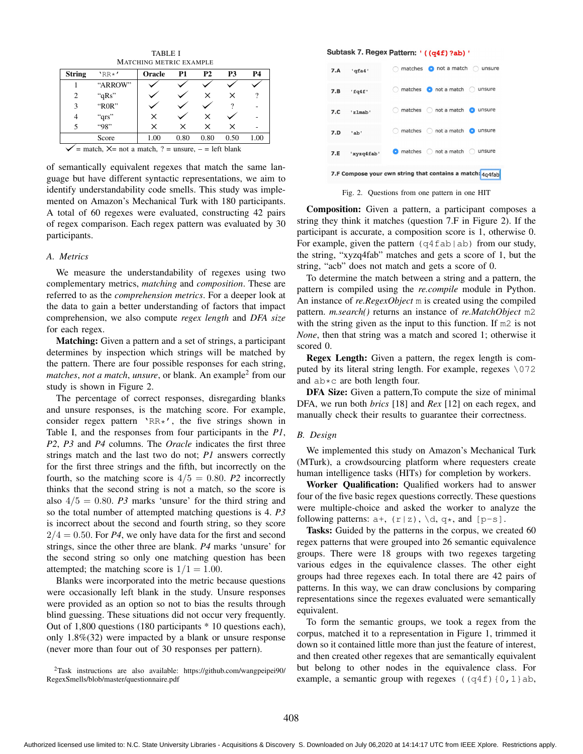TABLE I MATCHING METRIC EXAMPLE

| <b>String</b>  | $'RR*'$ | Oracle | P1   | <b>P2</b> | P3   | Р4   |
|----------------|---------|--------|------|-----------|------|------|
|                | "ARROW" |        |      |           |      |      |
| $\overline{c}$ | "qRs"   |        |      | ×         | ×    | ?    |
| 3              | "R0R"   |        |      |           | 9    |      |
| 4              | "qrs"   | ×      |      | x         |      |      |
| 5              | "98"    | ×      | ×    | ×         | ×    |      |
|                | Score   | 1.00   | 0.80 | 0.80      | 0.50 | 1.00 |

 $\gamma$  = match,  $X$ = not a match, ? = unsure, – = left blank

of semantically equivalent regexes that match the same language but have different syntactic representations, we aim to identify understandability code smells. This study was implemented on Amazon's Mechanical Turk with 180 participants. A total of 60 regexes were evaluated, constructing 42 pairs of regex comparison. Each regex pattern was evaluated by 30 participants.

## *A. Metrics*

We measure the understandability of regexes using two complementary metrics, *matching* and *composition*. These are referred to as the *comprehension metrics*. For a deeper look at the data to gain a better understanding of factors that impact comprehension, we also compute *regex length* and *DFA size* for each regex.

Matching: Given a pattern and a set of strings, a participant determines by inspection which strings will be matched by the pattern. There are four possible responses for each string, *matches, not a match, unsure, or blank. An example<sup>2</sup> from our* study is shown in Figure 2.

The percentage of correct responses, disregarding blanks and unsure responses, is the matching score. For example, consider regex pattern 'RR\*', the five strings shown in Table I, and the responses from four participants in the *P1*, *P2*, *P3* and *P4* columns. The *Oracle* indicates the first three strings match and the last two do not; *P1* answers correctly for the first three strings and the fifth, but incorrectly on the fourth, so the matching score is  $4/5=0.80$ . *P2* incorrectly thinks that the second string is not a match, so the score is also  $4/5=0.80$ . *P3* marks 'unsure' for the third string and so the total number of attempted matching questions is 4. *P3* is incorrect about the second and fourth string, so they score  $2/4=0.50$ . For *P4*, we only have data for the first and second strings, since the other three are blank. *P4* marks 'unsure' for the second string so only one matching question has been attempted; the matching score is  $1/1 = 1.00$ .

Blanks were incorporated into the metric because questions were occasionally left blank in the study. Unsure responses were provided as an option so not to bias the results through blind guessing. These situations did not occur very frequently. Out of 1,800 questions (180 participants \* 10 questions each), only 1.8%(32) were impacted by a blank or unsure response (never more than four out of 30 responses per pattern).

2Task instructions are also available: https://github.com/wangpeipei90/ RegexSmells/blob/master/questionnaire.pdf

#### Subtask 7. Regex Pattern: ' ((q4f) ?ab) '

| 7.A                                                       | 'qfa4'         | matches $\bullet$ not a match $\circ$ unsure    |  |  |
|-----------------------------------------------------------|----------------|-------------------------------------------------|--|--|
| 7.B                                                       | 'fq4f'         | o not a match<br>matches<br>unsure              |  |  |
| 7.C                                                       | 'zlmab'        | not a match<br>matches<br>unsure<br>o           |  |  |
| 7.D                                                       | 'ab'           | matches<br>$\bigcap$ not a match<br>unsure<br>0 |  |  |
|                                                           | 7.E 'xyzq4fab' | $\bullet$ matches $\circ$ not a match<br>unsure |  |  |
| 7.F Compose your own string that contains a match: 4q4fab |                |                                                 |  |  |

Fig. 2. Questions from one pattern in one HIT

Composition: Given a pattern, a participant composes a string they think it matches (question 7.F in Figure 2). If the participant is accurate, a composition score is 1, otherwise 0. For example, given the pattern  $(q4fab|ab)$  from our study, the string, "xyzq4fab" matches and gets a score of 1, but the string, "acb" does not match and gets a score of 0.

To determine the match between a string and a pattern, the pattern is compiled using the *re.compile* module in Python. An instance of *re.RegexObject* m is created using the compiled pattern. *m.search()* returns an instance of *re.MatchObject* m2 with the string given as the input to this function. If m2 is not *None*, then that string was a match and scored 1; otherwise it scored 0.

Regex Length: Given a pattern, the regex length is computed by its literal string length. For example, regexes \072 and ab\*c are both length four.

DFA Size: Given a pattern,To compute the size of minimal DFA, we run both *brics* [18] and *Rex* [12] on each regex, and manually check their results to guarantee their correctness.

#### *B. Design*

We implemented this study on Amazon's Mechanical Turk (MTurk), a crowdsourcing platform where requesters create human intelligence tasks (HITs) for completion by workers.

Worker Qualification: Qualified workers had to answer four of the five basic regex questions correctly. These questions were multiple-choice and asked the worker to analyze the following patterns:  $a^+$ ,  $(r|z)$ ,  $\ddot{d}$ ,  $q^*$ , and  $[p-s]$ .

Tasks: Guided by the patterns in the corpus, we created 60 regex patterns that were grouped into 26 semantic equivalence groups. There were 18 groups with two regexes targeting various edges in the equivalence classes. The other eight groups had three regexes each. In total there are 42 pairs of patterns. In this way, we can draw conclusions by comparing representations since the regexes evaluated were semantically equivalent.

To form the semantic groups, we took a regex from the corpus, matched it to a representation in Figure 1, trimmed it down so it contained little more than just the feature of interest, and then created other regexes that are semantically equivalent but belong to other nodes in the equivalence class. For example, a semantic group with regexes  $((q4f) (0, 1)ab)$ ,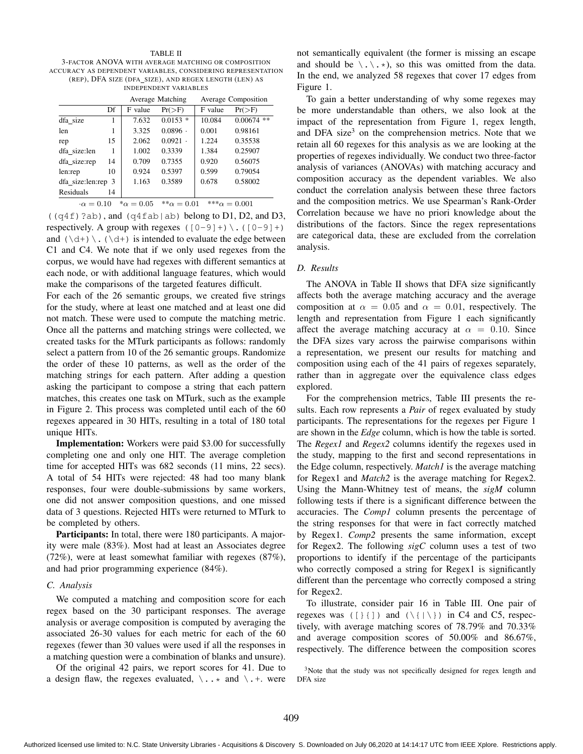#### TABLE II

3-FACTOR ANOVA WITH AVERAGE MATCHING OR COMPOSITION ACCURACY AS DEPENDENT VARIABLES, CONSIDERING REPRESENTATION (REP), DFA SIZE (DFA\_SIZE), AND REGEX LENGTH (LEN) AS INDEPENDENT VARIABLES

|                       |    |                    | Average Matching       |         | Average Composition  |
|-----------------------|----|--------------------|------------------------|---------|----------------------|
|                       | Df | F value            | $Pr(>=F)$              | F value | $Pr(>\)$             |
| dfa size              | 1  | 7.632              | $0.0153$ *             | 10.084  | 0.00674<br>**        |
| len                   |    | 3.325              | $0.0896$ .             | 0.001   | 0.98161              |
| rep                   | 15 | 2.062              | $0.0921$ .             | 1.224   | 0.35538              |
| dfa size:len          | 1  | 1.002              | 0.3339                 | 1.384   | 0.25907              |
| dfa size:rep          | 14 | 0.709              | 0.7355                 | 0.920   | 0.56075              |
| len:rep               | 10 | 0.924              | 0.5397                 | 0.599   | 0.79054              |
| dfa size:len:rep 3    |    | 1.163              | 0.3589                 | 0.678   | 0.58002              |
| Residuals<br>14       |    |                    |                        |         |                      |
| $\cdot \alpha = 0.10$ |    | $^* \alpha = 0.05$ | ${}^{**}\alpha = 0.01$ |         | *** $\alpha = 0.001$ |

 $((q4f)$ ?ab), and  $(q4fab|ab)$  belong to D1, D2, and D3, respectively. A group with regexes  $([0-9]+)\ \ ([0-9]+)$ and  $(\dagger)$ .  $(\dagger)$  is intended to evaluate the edge between C1 and C4. We note that if we only used regexes from the corpus, we would have had regexes with different semantics at each node, or with additional language features, which would make the comparisons of the targeted features difficult.

For each of the 26 semantic groups, we created five strings for the study, where at least one matched and at least one did not match. These were used to compute the matching metric. Once all the patterns and matching strings were collected, we created tasks for the MTurk participants as follows: randomly select a pattern from 10 of the 26 semantic groups. Randomize the order of these 10 patterns, as well as the order of the matching strings for each pattern. After adding a question asking the participant to compose a string that each pattern matches, this creates one task on MTurk, such as the example in Figure 2. This process was completed until each of the 60 regexes appeared in 30 HITs, resulting in a total of 180 total unique HITs.

Implementation: Workers were paid \$3.00 for successfully completing one and only one HIT. The average completion time for accepted HITs was 682 seconds (11 mins, 22 secs). A total of 54 HITs were rejected: 48 had too many blank responses, four were double-submissions by same workers, one did not answer composition questions, and one missed data of 3 questions. Rejected HITs were returned to MTurk to be completed by others.

Participants: In total, there were 180 participants. A majority were male (83%). Most had at least an Associates degree (72%), were at least somewhat familiar with regexes (87%), and had prior programming experience (84%).

#### *C. Analysis*

We computed a matching and composition score for each regex based on the 30 participant responses. The average analysis or average composition is computed by averaging the associated 26-30 values for each metric for each of the 60 regexes (fewer than 30 values were used if all the responses in a matching question were a combination of blanks and unsure).

Of the original 42 pairs, we report scores for 41. Due to a design flaw, the regexes evaluated,  $\lambda \cdot \cdot *$  and  $\lambda \cdot +$ . were not semantically equivalent (the former is missing an escape and should be  $\langle \cdot, \cdot \rangle$ , so this was omitted from the data. In the end, we analyzed 58 regexes that cover 17 edges from Figure 1.

To gain a better understanding of why some regexes may be more understandable than others, we also look at the impact of the representation from Figure 1, regex length, and DFA size<sup>3</sup> on the comprehension metrics. Note that we retain all 60 regexes for this analysis as we are looking at the properties of regexes individually. We conduct two three-factor analysis of variances (ANOVAs) with matching accuracy and composition accuracy as the dependent variables. We also conduct the correlation analysis between these three factors and the composition metrics. We use Spearman's Rank-Order Correlation because we have no priori knowledge about the distributions of the factors. Since the regex representations are categorical data, these are excluded from the correlation analysis.

#### *D. Results*

The ANOVA in Table II shows that DFA size significantly affects both the average matching accuracy and the average composition at  $\alpha = 0.05$  and  $\alpha = 0.01$ , respectively. The length and representation from Figure 1 each significantly affect the average matching accuracy at  $\alpha = 0.10$ . Since the DFA sizes vary across the pairwise comparisons within a representation, we present our results for matching and composition using each of the 41 pairs of regexes separately, rather than in aggregate over the equivalence class edges explored.

For the comprehension metrics, Table III presents the results. Each row represents a *Pair* of regex evaluated by study participants. The representations for the regexes per Figure 1 are shown in the *Edge* column, which is how the table is sorted. The *Regex1* and *Regex2* columns identify the regexes used in the study, mapping to the first and second representations in the Edge column, respectively. *Match1* is the average matching for Regex1 and *Match2* is the average matching for Regex2. Using the Mann-Whitney test of means, the *sigM* column following tests if there is a significant difference between the accuracies. The *Comp1* column presents the percentage of the string responses for that were in fact correctly matched by Regex1. *Comp2* presents the same information, except for Regex2. The following *sigC* column uses a test of two proportions to identify if the percentage of the participants who correctly composed a string for Regex1 is significantly different than the percentage who correctly composed a string for Regex2.

To illustrate, consider pair 16 in Table III. One pair of regexes was  $([ \} \{ ] )$  and  $(\{ | \} )$  in C4 and C5, respectively, with average matching scores of 78.79% and 70.33% and average composition scores of 50.00% and 86.67%, respectively. The difference between the composition scores

<sup>&</sup>lt;sup>3</sup>Note that the study was not specifically designed for regex length and DFA size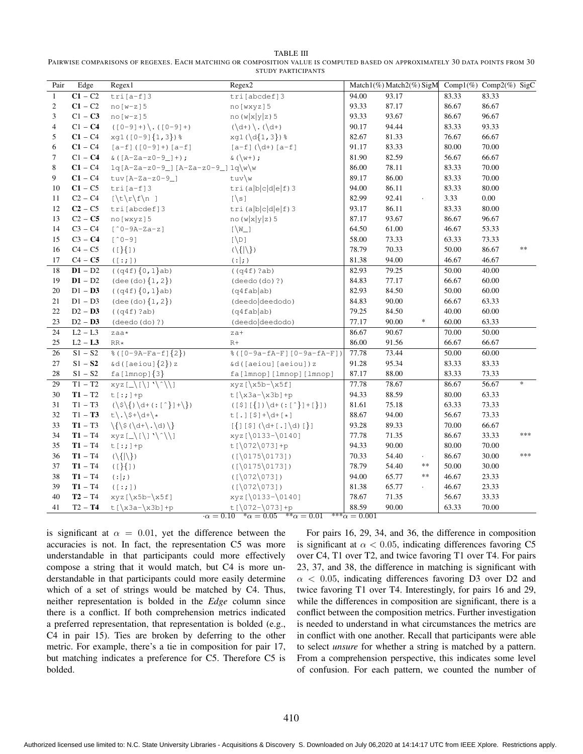| TABLE III                                                                                                                     |
|-------------------------------------------------------------------------------------------------------------------------------|
| PAIRWISE COMPARISONS OF REGEXES. EACH MATCHING OR COMPOSITION VALUE IS COMPUTED BASED ON APPROXIMATELY 30 DATA POINTS FROM 30 |
| STUDY PARTICIPANTS                                                                                                            |

| Pair           | Edge                 | Regex1                                                                                                                                                                                                                                                                                                                                            | Regex2                                                            |                   | Match1(%) Match2(%) SigM      |       | Comp $1(\%)$ Comp $2(\%)$ SigC |     |
|----------------|----------------------|---------------------------------------------------------------------------------------------------------------------------------------------------------------------------------------------------------------------------------------------------------------------------------------------------------------------------------------------------|-------------------------------------------------------------------|-------------------|-------------------------------|-------|--------------------------------|-----|
| $\mathbf{1}$   | $\overline{C1 - C2}$ | $tri[a-f]3$                                                                                                                                                                                                                                                                                                                                       | tri[abcdef]3                                                      | 94.00             | 93.17                         | 83.33 | 83.33                          |     |
| $\overline{c}$ | $C1 - C2$            | $no(w-z)5$                                                                                                                                                                                                                                                                                                                                        | no [wxyz] 5                                                       | 93.33             | 87.17                         | 86.67 | 86.67                          |     |
| 3              | $C1 - C3$            | $no(w-z]$ 5                                                                                                                                                                                                                                                                                                                                       | no(w x y z) 5                                                     | 93.33             | 93.67                         | 86.67 | 96.67                          |     |
| $\overline{4}$ | $C1 - C4$            | $(0-9]+)(. (0-9]+)$                                                                                                                                                                                                                                                                                                                               | $(\mathcal{A}^+)^{\mathcal{A}}$ , $(\mathcal{A}^+)^{\mathcal{A}}$ | 90.17             | 94.44                         | 83.33 | 93.33                          |     |
| 5              | $C1 - C4$            | xg1([0-9]{1,3})%                                                                                                                                                                                                                                                                                                                                  | $xgl(\d{1,3})$                                                    | 82.67             | 81.33                         | 76.67 | 66.67                          |     |
| 6              | $C1 - C4$            | $[a-f]$ ([0-9]+) $[a-f]$                                                                                                                                                                                                                                                                                                                          | $[a-f] (\dagger) [a-f]$                                           | 91.17             | 83.33                         | 80.00 | 70.00                          |     |
| $\tau$         | $C1 - C4$            | & ( $[A-Za-z0-9-]+$ );                                                                                                                                                                                                                                                                                                                            | & $(\vee\vee\vee)$ ;                                              | 81.90             | 82.59                         | 56.67 | 66.67                          |     |
| 8              | $C1 - C4$            | $1q[A-Za-z0-9]] [A-Za-z0-9]] 1q\w\w$                                                                                                                                                                                                                                                                                                              |                                                                   | 86.00             | 78.11                         | 83.33 | 70.00                          |     |
| 9              | $C1 - C4$            | $tuv[A-Za-z0-9]$                                                                                                                                                                                                                                                                                                                                  | tuv\w                                                             | 89.17             | 86.00                         | 83.33 | 70.00                          |     |
| 10             | $C1 - C5$            | $tri[a-f]3$                                                                                                                                                                                                                                                                                                                                       | $tri$ (a $ b c d e f$ ) 3                                         | 94.00             | 86.11                         | 83.33 | 80.00                          |     |
| 11             | $C2 - C4$            | $[\t\trthinspace \t\trm\; f\$ ]                                                                                                                                                                                                                                                                                                                   | $[\n\backslash s]$                                                | 82.99             | 92.41<br>$\ddot{\phantom{0}}$ | 3.33  | 0.00                           |     |
| 12             | $C2 - C5$            | tri[abcdef]3                                                                                                                                                                                                                                                                                                                                      | $tri$ (a $b c d e f$ ) 3                                          | 93.17             | 86.11                         | 83.33 | 80.00                          |     |
| 13             | $C2 - C5$            | no [wxyz] 5                                                                                                                                                                                                                                                                                                                                       | no(w x y z)5                                                      | 87.17             | 93.67                         | 86.67 | 96.67                          |     |
| 14             | $C3 - C4$            | $[^0-9A-Za-z]$                                                                                                                                                                                                                                                                                                                                    | $[\W_1]$                                                          | 64.50             | 61.00                         | 46.67 | 53.33                          |     |
| 15             | $C3 - C4$            | $[^00-9]$                                                                                                                                                                                                                                                                                                                                         | $[\n\bigr\}$                                                      | 58.00             | 73.33                         | 63.33 | 73.33                          |     |
| 16             | $C4 - C5$            | $( [ \} \{ ] )$                                                                                                                                                                                                                                                                                                                                   | $(\langle  \rangle)$                                              | 78.79             | 70.33                         | 50.00 | 86.67                          | **  |
| 17             | $C4 - C5$            | ([::;])                                                                                                                                                                                                                                                                                                                                           | (: ;)                                                             | 81.38             | 94.00                         | 46.67 | 46.67                          |     |
| 18             | $D1 - D2$            | $((q4f)\{0,1\}ab)$                                                                                                                                                                                                                                                                                                                                | ((q4f)?ab)                                                        | 82.93             | 79.25                         | 50.00 | 40.00                          |     |
| 19             | $D1 - D2$            | $($ dee $($ do $)$ $\{1, 2\})$                                                                                                                                                                                                                                                                                                                    | (deedo(do)?)                                                      | 84.83             | 77.17                         | 66.67 | 60.00                          |     |
| 20             | $D1 - D3$            | $((q4f)\{0,1\}ab)$                                                                                                                                                                                                                                                                                                                                | (q4fablab)                                                        | 82.93             | 84.50                         | 50.00 | 60.00                          |     |
| 21             | $D1 - D3$            | $($ dee $($ do $)$ $\{1, 2\})$                                                                                                                                                                                                                                                                                                                    | (deedo deedodo)                                                   | 84.83             | 90.00                         | 66.67 | 63.33                          |     |
| 22             | $D2 - D3$            | ((q4f)?ab)                                                                                                                                                                                                                                                                                                                                        | (q4fablab)                                                        | 79.25             | 84.50                         | 40.00 | 60.00                          |     |
| 23             | $D2 - D3$            | (deedo(do)?)                                                                                                                                                                                                                                                                                                                                      | (deedo deedodo)                                                   | 77.17             | 90.00<br>$\ast$               | 60.00 | 63.33                          |     |
| 24             | $L2 - L3$            | $z$ aa*                                                                                                                                                                                                                                                                                                                                           | $za+$                                                             | 86.67             | 90.67                         | 70.00 | 50.00                          |     |
| $25\,$         | $L2 - L3$            | $\mathbf{RR} \star$                                                                                                                                                                                                                                                                                                                               | $R+$                                                              | 86.00             | 91.56                         | 66.67 | 66.67                          |     |
| 26             | $S1 - S2$            | $\{(0-9A-Fa-f]\{2\})$                                                                                                                                                                                                                                                                                                                             | %([0-9a-fA-F][0-9a-fA-F])                                         | 77.78             | 73.44                         | 50.00 | 60.00                          |     |
| 27             | $S1 - S2$            | $\&d([aeiou]{2})z$                                                                                                                                                                                                                                                                                                                                | &d([aeiou][aeiou])z                                               | 91.28             | 95.34                         | 83.33 | 83.33                          |     |
| 28             | $S1 - S2$            | $fa[lmnop]{3}$                                                                                                                                                                                                                                                                                                                                    | fa[lmnop][lmnop][lmnop]                                           | 87.17             | 88.00                         | 83.33 | 73.33                          |     |
| 29             | $T1 - T2$            | $xyz[\sqrt{(\iota\vee\iota\vee\iota\vee\iota\vee\iota\vee\iota\vee\iota\vee\iota\vee\iota\vee\iota\vee\iota\vee\iota\vee\iota\vee\iota\vee\iota\vee\iota\vee\iota\vee\iota\vee\iota\vee\iota\vee\iota\vee\iota\vee\iota\vee\iota\vee\iota\vee\iota\vee\iota\vee\iota\vee\iota\vee\iota\vee\iota\vee\iota\vee\iota\vee\iota\vee\iota\vee\iota\vee$ | $xyz[\x5b-\x5f]$                                                  | 77.78             | 78.67                         | 86.67 | 56.67                          |     |
| 30             | $T1 - T2$            | $t[:;]+p$                                                                                                                                                                                                                                                                                                                                         | $t[\x3a-\x3b]+p$                                                  | 94.33             | 88.59                         | 80.00 | 63.33                          |     |
| 31             | $T1 - T3$            | $(\S\setminus\{)\setminus d + ( : [^*]\} + \S)$                                                                                                                                                                                                                                                                                                   | $([5] [{1}) \ddot{+} (:[^{\hat{}}] + [^{\hat{}}])$                | 81.61             | 75.18                         | 63.33 | 73.33                          |     |
| 32             | $T1 - T3$            | $t\backslash \backslash \$ + $\backslash$ d+ $\backslash *$                                                                                                                                                                                                                                                                                       | $t[.] [$] + \ddot{d} + [*]$                                       | 88.67             | 94.00                         | 56.67 | 73.33                          |     |
| 33             | $T1 - T3$            | $\{\langle d+ \rangle, d \rangle \}$                                                                                                                                                                                                                                                                                                              | $[\{](\xi)(\det[\cdot](d) )\}]$                                   | 93.28             | 89.33                         | 70.00 | 66.67                          |     |
| 34             | $T1 - T4$            | $xyz[\lfloor \frac{1}{2} \rfloor \cdot \frac{1}{2}]$                                                                                                                                                                                                                                                                                              | xyz[\0133-\0140]                                                  | 77.78             | 71.35                         | 86.67 | 33.33                          | *** |
| 35             | $T1 - T4$            | $t$ [:; ] +p                                                                                                                                                                                                                                                                                                                                      | $t$ [\072\073]+p                                                  | 94.33             | 90.00                         | 80.00 | 70.00                          |     |
| 36             | $T1 - T4$            | $(\langle \{ \rangle\})$                                                                                                                                                                                                                                                                                                                          | $( [ \0175 \0173 ] )$                                             | 70.33             | 54.40<br>$\cdot$              | 86.67 | 30.00                          | *** |
| 37             | $T1 - T4$            | $( [ \} \{ ] )$                                                                                                                                                                                                                                                                                                                                   | $( [ \0175 \0173 ] )$                                             | 78.79             | 54.40<br>**                   | 50.00 | 30.00                          |     |
| 38             | $T1 - T4$            | (: ;)                                                                                                                                                                                                                                                                                                                                             | ([072073])                                                        | 94.00             | $\ast$<br>65.77               | 46.67 | 23.33                          |     |
| 39             | $T1 - T4$            | ([::;])                                                                                                                                                                                                                                                                                                                                           | $( [ \ 072 \ 073 ] )$                                             | 81.38             | 65.77                         | 46.67 | 23.33                          |     |
| 40             | $T2 - T4$            | $xyz[\x5b-\x5f]$                                                                                                                                                                                                                                                                                                                                  | xyz[\0133-\0140]                                                  | 78.67             | 71.35                         | 56.67 | 33.33                          |     |
| 41             | $T2 - T4$            | $t[\x3a-\x3b]+p$                                                                                                                                                                                                                                                                                                                                  | $t$ [\072-\073]+p                                                 | 88.59             | 90.00                         | 63.33 | 70.00                          |     |
|                |                      |                                                                                                                                                                                                                                                                                                                                                   | $\alpha = 0.10$ * $\alpha = 0.05$ * * $\alpha = 0.01$             | $***\alpha=0.001$ |                               |       |                                |     |

is significant at  $\alpha = 0.01$ , yet the difference between the accuracies is not. In fact, the representation C5 was more understandable in that participants could more effectively compose a string that it would match, but C4 is more understandable in that participants could more easily determine which of a set of strings would be matched by C4. Thus, neither representation is bolded in the *Edge* column since there is a conflict. If both comprehension metrics indicated a preferred representation, that representation is bolded (e.g., C4 in pair 15). Ties are broken by deferring to the other metric. For example, there's a tie in composition for pair 17, but matching indicates a preference for C5. Therefore C5 is bolded.

For pairs 16, 29, 34, and 36, the difference in composition is significant at  $\alpha < 0.05$ , indicating differences favoring C5 over C4, T1 over T2, and twice favoring T1 over T4. For pairs 23, 37, and 38, the difference in matching is significant with  $\alpha$  < 0.05, indicating differences favoring D3 over D2 and twice favoring T1 over T4. Interestingly, for pairs 16 and 29, while the differences in composition are significant, there is a conflict between the composition metrics. Further investigation is needed to understand in what circumstances the metrics are in conflict with one another. Recall that participants were able to select *unsure* for whether a string is matched by a pattern. From a comprehension perspective, this indicates some level of confusion. For each pattern, we counted the number of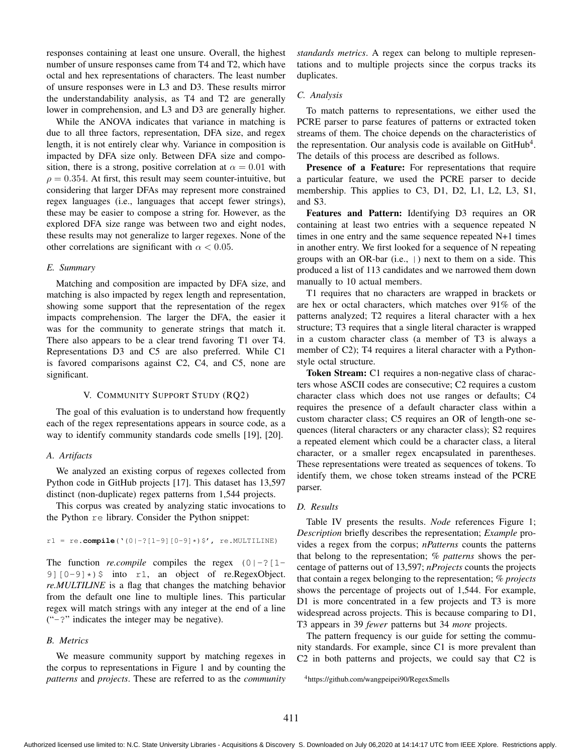responses containing at least one unsure. Overall, the highest number of unsure responses came from T4 and T2, which have octal and hex representations of characters. The least number of unsure responses were in L3 and D3. These results mirror the understandability analysis, as T4 and T2 are generally lower in comprehension, and L3 and D3 are generally higher.

While the ANOVA indicates that variance in matching is due to all three factors, representation, DFA size, and regex length, it is not entirely clear why. Variance in composition is impacted by DFA size only. Between DFA size and composition, there is a strong, positive correlation at  $\alpha = 0.01$  with  $\rho = 0.354$ . At first, this result may seem counter-intuitive, but considering that larger DFAs may represent more constrained regex languages (i.e., languages that accept fewer strings), these may be easier to compose a string for. However, as the explored DFA size range was between two and eight nodes, these results may not generalize to larger regexes. None of the other correlations are significant with  $\alpha$  < 0.05.

#### *E. Summary*

Matching and composition are impacted by DFA size, and matching is also impacted by regex length and representation, showing some support that the representation of the regex impacts comprehension. The larger the DFA, the easier it was for the community to generate strings that match it. There also appears to be a clear trend favoring T1 over T4. Representations D3 and C5 are also preferred. While C1 is favored comparisons against C2, C4, and C5, none are significant.

#### V. COMMUNITY SUPPORT STUDY (RQ2)

The goal of this evaluation is to understand how frequently each of the regex representations appears in source code, as a way to identify community standards code smells [19], [20].

## *A. Artifacts*

We analyzed an existing corpus of regexes collected from Python code in GitHub projects [17]. This dataset has 13,597 distinct (non-duplicate) regex patterns from 1,544 projects.

This corpus was created by analyzing static invocations to the Python re library. Consider the Python snippet:

#### $r1 = re.compile('0|-?[1-9][0-9]*)$ \$', re.MULTILINE)

The function *re.compile* compiles the regex  $(0|-?[1-]$ 9] $[0-9] \star$ )  $\frac{1}{2}$  into r1, an object of re.RegexObject. *re.MULTILINE* is a flag that changes the matching behavior from the default one line to multiple lines. This particular regex will match strings with any integer at the end of a line ("-?" indicates the integer may be negative).

#### *B. Metrics*

We measure community support by matching regexes in the corpus to representations in Figure 1 and by counting the *patterns* and *projects*. These are referred to as the *community* *standards metrics*. A regex can belong to multiple representations and to multiple projects since the corpus tracks its duplicates.

#### *C. Analysis*

To match patterns to representations, we either used the PCRE parser to parse features of patterns or extracted token streams of them. The choice depends on the characteristics of the representation. Our analysis code is available on  $G$ it $H$ ub<sup>4</sup>. The details of this process are described as follows.

Presence of a Feature: For representations that require a particular feature, we used the PCRE parser to decide membership. This applies to C3, D1, D2, L1, L2, L3, S1, and S3.

Features and Pattern: Identifying D3 requires an OR containing at least two entries with a sequence repeated N times in one entry and the same sequence repeated N+1 times in another entry. We first looked for a sequence of N repeating groups with an OR-bar (i.e.,  $\vert$ ) next to them on a side. This produced a list of 113 candidates and we narrowed them down manually to 10 actual members.

T1 requires that no characters are wrapped in brackets or are hex or octal characters, which matches over 91% of the patterns analyzed; T2 requires a literal character with a hex structure; T3 requires that a single literal character is wrapped in a custom character class (a member of T3 is always a member of C2); T4 requires a literal character with a Pythonstyle octal structure.

Token Stream: C1 requires a non-negative class of characters whose ASCII codes are consecutive; C2 requires a custom character class which does not use ranges or defaults; C4 requires the presence of a default character class within a custom character class; C5 requires an OR of length-one sequences (literal characters or any character class); S2 requires a repeated element which could be a character class, a literal character, or a smaller regex encapsulated in parentheses. These representations were treated as sequences of tokens. To identify them, we chose token streams instead of the PCRE parser.

#### *D. Results*

Table IV presents the results. *Node* references Figure 1; *Description* briefly describes the representation; *Example* provides a regex from the corpus; *nPatterns* counts the patterns that belong to the representation; *% patterns* shows the percentage of patterns out of 13,597; *nProjects* counts the projects that contain a regex belonging to the representation; *% projects* shows the percentage of projects out of 1,544. For example, D1 is more concentrated in a few projects and T3 is more widespread across projects. This is because comparing to D1, T3 appears in 39 *fewer* patterns but 34 *more* projects.

The pattern frequency is our guide for setting the community standards. For example, since C1 is more prevalent than C2 in both patterns and projects, we could say that C2 is

<sup>4</sup>https://github.com/wangpeipei90/RegexSmells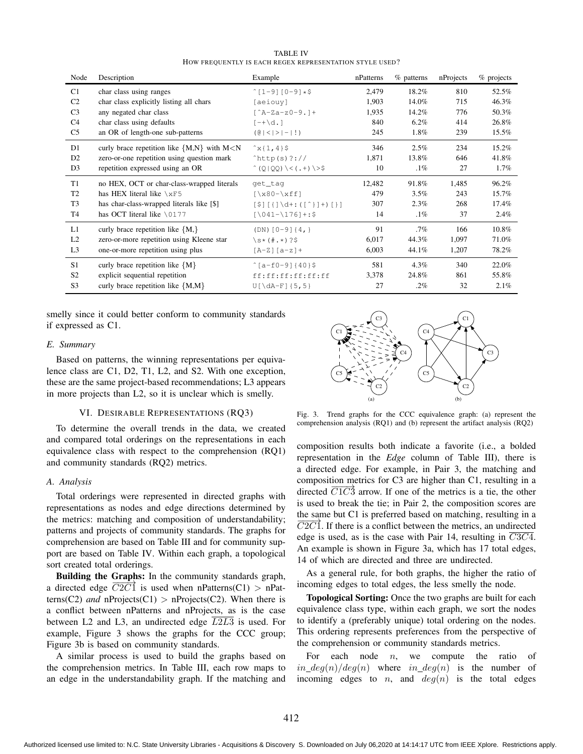TABLE IV HOW FREQUENTLY IS EACH REGEX REPRESENTATION STYLE USED?

| Node           | Description                                      | Example                                  | nPatterns | $%$ patterns | nProjects | $%$ projects |
|----------------|--------------------------------------------------|------------------------------------------|-----------|--------------|-----------|--------------|
| C1             | char class using ranges                          | $^{\circ}$ [1-9][0-9]*\$                 | 2,479     | 18.2%        | 810       | 52.5%        |
| C <sub>2</sub> | char class explicitly listing all chars          | [aeiouy]                                 | 1,903     | 14.0%        | 715       | 46.3%        |
| C <sub>3</sub> | any negated char class                           | $\lceil$ $A-Za-z0-9$ . $\rceil +$        | 1,935     | 14.2%        | 776       | 50.3%        |
| C <sub>4</sub> | char class using defaults                        | $[-+ \ddot{\alpha}]$ .                   | 840       | $6.2\%$      | 414       | 26.8%        |
| C <sub>5</sub> | an OR of length-one sub-patterns                 | $(0 \mid \leq  \geq  - !)$               | 245       | $1.8\%$      | 239       | 15.5%        |
| D1             | curly brace repetition like ${M,N}$ with $M < N$ | $x\{1,4\}$ \$                            | 346       | 2.5%         | 234       | 15.2%        |
| D <sub>2</sub> | zero-or-one repetition using question mark       | $^{\circ}$ http(s)?://                   | 1,871     | 13.8%        | 646       | 41.8%        |
| D <sub>3</sub> | repetition expressed using an OR                 | $^{\circ}$ (Q QQ) \< (.+) \>\$           | 10        | $.1\%$       | 27        | 1.7%         |
| T1             | no HEX, OCT or char-class-wrapped literals       | get_tag                                  | 12,482    | 91.8%        | 1,485     | 96.2%        |
| T <sub>2</sub> | has HEX literal like $\chi$ F5                   | $[\x80-\xff]$                            | 479       | 3.5%         | 243       | 15.7%        |
| T <sub>3</sub> | has char-class-wrapped literals like [\$]        | $[5][1]\ddot{d}$ +: $([^{\wedge}]]+)[1]$ | 307       | 2.3%         | 268       | 17.4%        |
| T <sub>4</sub> | has OCT literal like $\setminus$ 0177            | $[ \ 041 - \ 176 ] + :$                  | 14        | $.1\%$       | 37        | 2.4%         |
| L1             | curly brace repetition like ${M,}$               | $(DN) [0-9] {4,}$                        | 91        | $.7\%$       | 166       | 10.8%        |
| L2             | zero-or-more repetition using Kleene star        | $\simeq$ (#.*)?\$                        | 6,017     | 44.3%        | 1,097     | 71.0%        |
| L <sub>3</sub> | one-or-more repetition using plus                | $[A-Z] [a-z] +$                          | 6,003     | 44.1%        | 1,207     | 78.2%        |
| S <sub>1</sub> | curly brace repetition like ${M}$                | $\hat{S}$ [a-f0-9]{40}\$                 | 581       | 4.3%         | 340       | 22.0%        |
| S <sub>2</sub> | explicit sequential repetition                   | ff:ff:ff:ff:ff:ff                        | 3,378     | 24.8%        | 861       | 55.8%        |
| S <sub>3</sub> | curly brace repetition like ${M,M}$              | $U[\d{dA-F}]\{5,5\}$                     | 27        | $.2\%$       | 32        | 2.1%         |

smelly since it could better conform to community standards if expressed as C1.

#### *E. Summary*

Based on patterns, the winning representations per equivalence class are C1, D2, T1, L2, and S2. With one exception, these are the same project-based recommendations; L3 appears in more projects than L2, so it is unclear which is smelly.

## VI. DESIRABLE REPRESENTATIONS (RQ3)

To determine the overall trends in the data, we created and compared total orderings on the representations in each equivalence class with respect to the comprehension (RQ1) and community standards (RQ2) metrics.

#### *A. Analysis*

Total orderings were represented in directed graphs with representations as nodes and edge directions determined by the metrics: matching and composition of understandability; patterns and projects of community standards. The graphs for comprehension are based on Table III and for community support are based on Table IV. Within each graph, a topological sort created total orderings.

Building the Graphs: In the community standards graph, a directed edge  $C2C1$  is used when nPatterns(C1) > nPatterns(C2) *and* nProjects(C1) > nProjects(C2). When there is a conflict between nPatterns and nProjects, as is the case between L2 and L3, an undirected edge  $\overline{L2L3}$  is used. For example, Figure 3 shows the graphs for the CCC group; Figure 3b is based on community standards.

A similar process is used to build the graphs based on the comprehension metrics. In Table III, each row maps to an edge in the understandability graph. If the matching and



Fig. 3. Trend graphs for the CCC equivalence graph: (a) represent the comprehension analysis (RQ1) and (b) represent the artifact analysis (RQ2)

composition results both indicate a favorite (i.e., a bolded representation in the *Edge* column of Table III), there is a directed edge. For example, in Pair 3, the matching and composition metrics for C3 are higher than C1, resulting in a directed  $\overrightarrow{C1}$  arrow. If one of the metrics is a tie, the other is used to break the tie; in Pair 2, the composition scores are the same but C1 is preferred based on matching, resulting in a  $C2C1$ . If there is a conflict between the metrics, an undirected edge is used, as is the case with Pair 14, resulting in C3C4. An example is shown in Figure 3a, which has 17 total edges, 14 of which are directed and three are undirected.

As a general rule, for both graphs, the higher the ratio of incoming edges to total edges, the less smelly the node.

Topological Sorting: Once the two graphs are built for each equivalence class type, within each graph, we sort the nodes to identify a (preferably unique) total ordering on the nodes. This ordering represents preferences from the perspective of the comprehension or community standards metrics.

For each node  $n$ , we compute the ratio of  $in\_deg(n)/deg(n)$  where  $in\_deg(n)$  is the number of incoming edges to *n*, and  $deg(n)$  is the total edges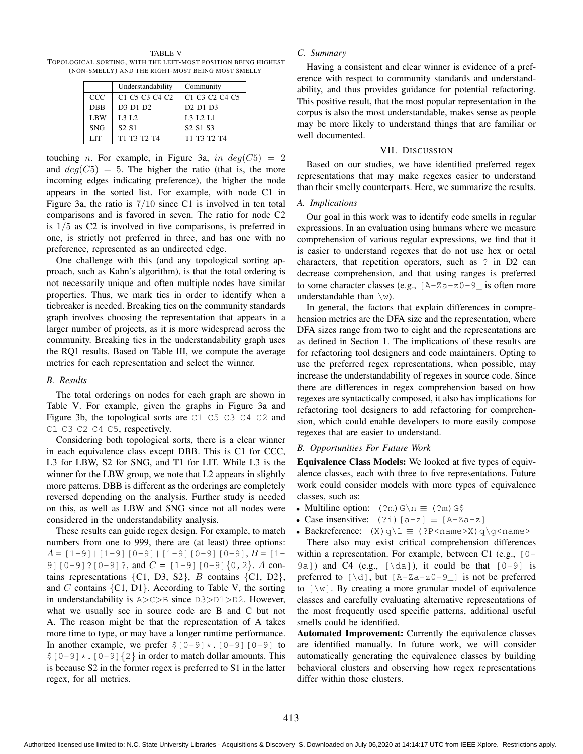TABLE V TOPOLOGICAL SORTING, WITH THE LEFT-MOST POSITION BEING HIGHEST (NON-SMELLY) AND THE RIGHT-MOST BEING MOST SMELLY

|            | Understandability                                                          | Community                                                                  |
|------------|----------------------------------------------------------------------------|----------------------------------------------------------------------------|
| CCC        | C <sub>1</sub> C <sub>5</sub> C <sub>3</sub> C <sub>4</sub> C <sub>2</sub> | C <sub>1</sub> C <sub>3</sub> C <sub>2</sub> C <sub>4</sub> C <sub>5</sub> |
| <b>DBB</b> | D <sub>3</sub> D <sub>1</sub> D <sub>2</sub>                               | D <sub>2</sub> D <sub>1</sub> D <sub>3</sub>                               |
| LBW        | L3 L2                                                                      | <b>L3 L2 L1</b>                                                            |
| <b>SNG</b> | S <sub>2</sub> S <sub>1</sub>                                              | S <sub>2</sub> S <sub>1</sub> S <sub>3</sub>                               |
| <b>LIT</b> | T1 T3 T2 T4                                                                | T1 T3 T2 T4                                                                |

touching *n*. For example, in Figure 3a,  $in\_deg(C5) = 2$ and  $deg(C5) = 5$ . The higher the ratio (that is, the more incoming edges indicating preference), the higher the node appears in the sorted list. For example, with node C1 in Figure 3a, the ratio is 7/10 since C1 is involved in ten total comparisons and is favored in seven. The ratio for node C2 is 1/5 as C2 is involved in five comparisons, is preferred in one, is strictly not preferred in three, and has one with no preference, represented as an undirected edge.

One challenge with this (and any topological sorting approach, such as Kahn's algorithm), is that the total ordering is not necessarily unique and often multiple nodes have similar properties. Thus, we mark ties in order to identify when a tiebreaker is needed. Breaking ties on the community standards graph involves choosing the representation that appears in a larger number of projects, as it is more widespread across the community. Breaking ties in the understandability graph uses the RQ1 results. Based on Table III, we compute the average metrics for each representation and select the winner.

#### *B. Results*

The total orderings on nodes for each graph are shown in Table V. For example, given the graphs in Figure 3a and Figure 3b, the topological sorts are C1 C5 C3 C4 C2 and C1 C3 C2 C4 C5, respectively.

Considering both topological sorts, there is a clear winner in each equivalence class except DBB. This is C1 for CCC, L3 for LBW, S2 for SNG, and T1 for LIT. While L3 is the winner for the LBW group, we note that L2 appears in slightly more patterns. DBB is different as the orderings are completely reversed depending on the analysis. Further study is needed on this, as well as LBW and SNG since not all nodes were considered in the understandability analysis.

These results can guide regex design. For example, to match numbers from one to 999, there are (at least) three options:  $A = [1-9] | [1-9] [0-9] | [1-9] [0-9] [0-9], B = [1-$ 9]  $[0-9]$  ?  $[0-9]$  ?, and  $C = [1-9]$   $[0-9]$   $\{0, 2\}$ . A contains representations  $\{C1, D3, S2\}$ , B contains  $\{C1, D2\}$ , and C contains  $\{C1, D1\}$ . According to Table V, the sorting in understandability is A>C>B since D3>D1>D2. However, what we usually see in source code are B and C but not A. The reason might be that the representation of A takes more time to type, or may have a longer runtime performance. In another example, we prefer  $$[0-9] \times .[0-9]$  [0-9] to  $$[0-9] \times . [0-9]{2}$  in order to match dollar amounts. This is because S2 in the former regex is preferred to S1 in the latter regex, for all metrics.

## *C. Summary*

Having a consistent and clear winner is evidence of a preference with respect to community standards and understandability, and thus provides guidance for potential refactoring. This positive result, that the most popular representation in the corpus is also the most understandable, makes sense as people may be more likely to understand things that are familiar or well documented.

#### VII. DISCUSSION

Based on our studies, we have identified preferred regex representations that may make regexes easier to understand than their smelly counterparts. Here, we summarize the results.

#### *A. Implications*

Our goal in this work was to identify code smells in regular expressions. In an evaluation using humans where we measure comprehension of various regular expressions, we find that it is easier to understand regexes that do not use hex or octal characters, that repetition operators, such as ? in D2 can decrease comprehension, and that using ranges is preferred to some character classes (e.g.,  $[A-Za-z0-9]$  is often more understandable than  $\forall w$ ).

In general, the factors that explain differences in comprehension metrics are the DFA size and the representation, where DFA sizes range from two to eight and the representations are as defined in Section 1. The implications of these results are for refactoring tool designers and code maintainers. Opting to use the preferred regex representations, when possible, may increase the understandability of regexes in source code. Since there are differences in regex comprehension based on how regexes are syntactically composed, it also has implications for refactoring tool designers to add refactoring for comprehension, which could enable developers to more easily compose regexes that are easier to understand.

#### *B. Opportunities For Future Work*

Equivalence Class Models: We looked at five types of equivalence classes, each with three to five representations. Future work could consider models with more types of equivalence classes, such as:

- Multiline option:  $(2m) G \n\equiv (2m) G$
- Case insensitive:  $(2i)$  [a-z]  $\equiv$  [A-Za-z]
- Backreference:  $(X) q \leq (?P < name > X) q \qquad name >$

There also may exist critical comprehension differences within a representation. For example, between C1 (e.g., [0- 9a]) and C4 (e.g.,  $[\dagger]$ ), it could be that  $[0-9]$  is preferred to  $[\dagger]$ , but  $[A-Za-z0-9]$  is not be preferred to  $[\n\wedge w]$ . By creating a more granular model of equivalence classes and carefully evaluating alternative representations of the most frequently used specific patterns, additional useful smells could be identified.

Automated Improvement: Currently the equivalence classes are identified manually. In future work, we will consider automatically generating the equivalence classes by building behavioral clusters and observing how regex representations differ within those clusters.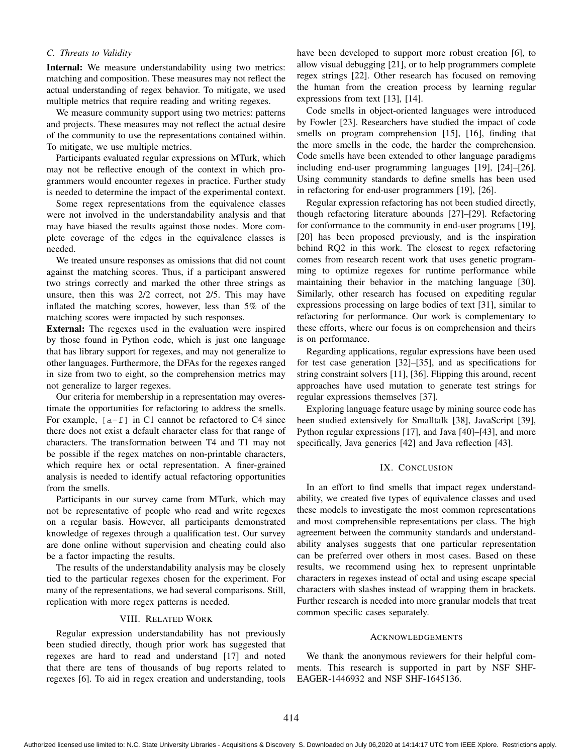## *C. Threats to Validity*

Internal: We measure understandability using two metrics: matching and composition. These measures may not reflect the actual understanding of regex behavior. To mitigate, we used multiple metrics that require reading and writing regexes.

We measure community support using two metrics: patterns and projects. These measures may not reflect the actual desire of the community to use the representations contained within. To mitigate, we use multiple metrics.

Participants evaluated regular expressions on MTurk, which may not be reflective enough of the context in which programmers would encounter regexes in practice. Further study is needed to determine the impact of the experimental context.

Some regex representations from the equivalence classes were not involved in the understandability analysis and that may have biased the results against those nodes. More complete coverage of the edges in the equivalence classes is needed.

We treated unsure responses as omissions that did not count against the matching scores. Thus, if a participant answered two strings correctly and marked the other three strings as unsure, then this was 2/2 correct, not 2/5. This may have inflated the matching scores, however, less than 5% of the matching scores were impacted by such responses.

External: The regexes used in the evaluation were inspired by those found in Python code, which is just one language that has library support for regexes, and may not generalize to other languages. Furthermore, the DFAs for the regexes ranged in size from two to eight, so the comprehension metrics may not generalize to larger regexes.

Our criteria for membership in a representation may overestimate the opportunities for refactoring to address the smells. For example,  $[a-f]$  in C1 cannot be refactored to C4 since there does not exist a default character class for that range of characters. The transformation between T4 and T1 may not be possible if the regex matches on non-printable characters, which require hex or octal representation. A finer-grained analysis is needed to identify actual refactoring opportunities from the smells.

Participants in our survey came from MTurk, which may not be representative of people who read and write regexes on a regular basis. However, all participants demonstrated knowledge of regexes through a qualification test. Our survey are done online without supervision and cheating could also be a factor impacting the results.

The results of the understandability analysis may be closely tied to the particular regexes chosen for the experiment. For many of the representations, we had several comparisons. Still, replication with more regex patterns is needed.

## VIII. RELATED WORK

Regular expression understandability has not previously been studied directly, though prior work has suggested that regexes are hard to read and understand [17] and noted that there are tens of thousands of bug reports related to regexes [6]. To aid in regex creation and understanding, tools

have been developed to support more robust creation [6], to allow visual debugging [21], or to help programmers complete regex strings [22]. Other research has focused on removing the human from the creation process by learning regular expressions from text [13], [14].

Code smells in object-oriented languages were introduced by Fowler [23]. Researchers have studied the impact of code smells on program comprehension [15], [16], finding that the more smells in the code, the harder the comprehension. Code smells have been extended to other language paradigms including end-user programming languages [19], [24]–[26]. Using community standards to define smells has been used in refactoring for end-user programmers [19], [26].

Regular expression refactoring has not been studied directly, though refactoring literature abounds [27]–[29]. Refactoring for conformance to the community in end-user programs [19], [20] has been proposed previously, and is the inspiration behind RQ2 in this work. The closest to regex refactoring comes from research recent work that uses genetic programming to optimize regexes for runtime performance while maintaining their behavior in the matching language [30]. Similarly, other research has focused on expediting regular expressions processing on large bodies of text [31], similar to refactoring for performance. Our work is complementary to these efforts, where our focus is on comprehension and theirs is on performance.

Regarding applications, regular expressions have been used for test case generation [32]–[35], and as specifications for string constraint solvers [11], [36]. Flipping this around, recent approaches have used mutation to generate test strings for regular expressions themselves [37].

Exploring language feature usage by mining source code has been studied extensively for Smalltalk [38], JavaScript [39], Python regular expressions [17], and Java [40]–[43], and more specifically, Java generics [42] and Java reflection [43].

#### IX. CONCLUSION

In an effort to find smells that impact regex understandability, we created five types of equivalence classes and used these models to investigate the most common representations and most comprehensible representations per class. The high agreement between the community standards and understandability analyses suggests that one particular representation can be preferred over others in most cases. Based on these results, we recommend using hex to represent unprintable characters in regexes instead of octal and using escape special characters with slashes instead of wrapping them in brackets. Further research is needed into more granular models that treat common specific cases separately.

#### ACKNOWLEDGEMENTS

We thank the anonymous reviewers for their helpful comments. This research is supported in part by NSF SHF-EAGER-1446932 and NSF SHF-1645136.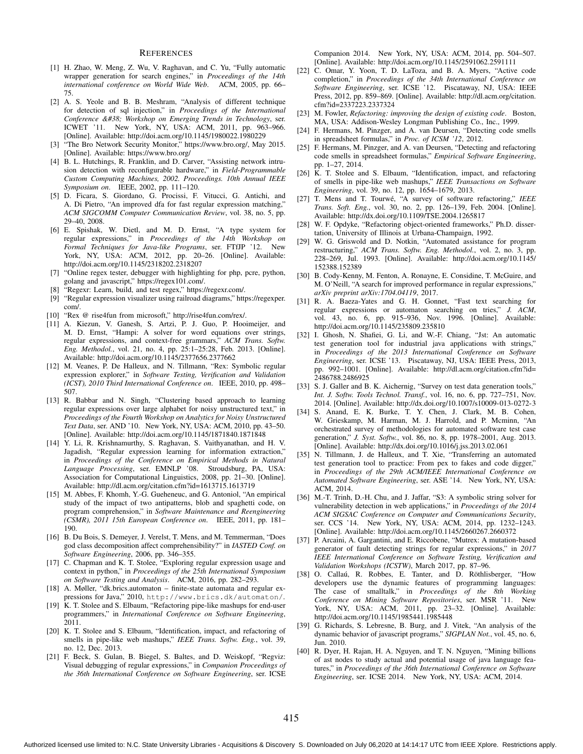#### **REFERENCES**

- [1] H. Zhao, W. Meng, Z. Wu, V. Raghavan, and C. Yu, "Fully automatic wrapper generation for search engines," in *Proceedings of the 14th international conference on World Wide Web*. ACM, 2005, pp. 66– 75.
- [2] A. S. Yeole and B. B. Meshram, "Analysis of different technique for detection of sql injection," in *Proceedings of the International Conference & Workshop on Emerging Trends in Technology, ser.* ICWET '11. New York, NY, USA: ACM, 2011, pp. 963–966. [Online]. Available: http://doi.acm.org/10.1145/1980022.1980229
- [3] "The Bro Network Security Monitor," https://www.bro.org/, May 2015. [Online]. Available: https://www.bro.org/
- [4] B. L. Hutchings, R. Franklin, and D. Carver, "Assisting network intrusion detection with reconfigurable hardware," in *Field-Programmable Custom Computing Machines, 2002. Proceedings. 10th Annual IEEE Symposium on*. IEEE, 2002, pp. 111–120.
- [5] D. Ficara, S. Giordano, G. Procissi, F. Vitucci, G. Antichi, and A. Di Pietro, "An improved dfa for fast regular expression matching," *ACM SIGCOMM Computer Communication Review*, vol. 38, no. 5, pp. 29–40, 2008.
- [6] E. Spishak, W. Dietl, and M. D. Ernst, "A type system for regular expressions," in *Proceedings of the 14th Workshop on Formal Techniques for Java-like Programs*, ser. FTfJP '12. New York, NY, USA: ACM, 2012, pp. 20–26. [Online]. Available: http://doi.acm.org/10.1145/2318202.2318207
- [7] "Online regex tester, debugger with highlighting for php, pcre, python, golang and javascript," https://regex101.com/.
- "Regexr: Learn, build, and test regex," https://regexr.com/.
- [9] "Regular expression visualizer using railroad diagrams," https://regexper. com/.
- [10] "Rex @ rise4fun from microsoft," http://rise4fun.com/rex/.
- [11] A. Kiezun, V. Ganesh, S. Artzi, P. J. Guo, P. Hooimeijer, and M. D. Ernst, "Hampi: A solver for word equations over strings, regular expressions, and context-free grammars," *ACM Trans. Softw. Eng. Methodol.*, vol. 21, no. 4, pp. 25:1–25:28, Feb. 2013. [Online]. Available: http://doi.acm.org/10.1145/2377656.2377662
- [12] M. Veanes, P. De Halleux, and N. Tillmann, "Rex: Symbolic regular expression explorer," in *Software Testing, Verification and Validation (ICST), 2010 Third International Conference on*. IEEE, 2010, pp. 498– 507.
- [13] R. Babbar and N. Singh, "Clustering based approach to learning regular expressions over large alphabet for noisy unstructured text," in *Proceedings of the Fourth Workshop on Analytics for Noisy Unstructured Text Data*, ser. AND '10. New York, NY, USA: ACM, 2010, pp. 43–50. [Online]. Available: http://doi.acm.org/10.1145/1871840.1871848
- [14] Y. Li, R. Krishnamurthy, S. Raghavan, S. Vaithyanathan, and H. V. Jagadish, "Regular expression learning for information extraction," in *Proceedings of the Conference on Empirical Methods in Natural Language Processing*, ser. EMNLP '08. Stroudsburg, PA, USA: Association for Computational Linguistics, 2008, pp. 21–30. [Online]. Available: http://dl.acm.org/citation.cfm?id=1613715.1613719
- [15] M. Abbes, F. Khomh, Y.-G. Gueheneuc, and G. Antoniol, "An empirical study of the impact of two antipatterns, blob and spaghetti code, on program comprehension," in *Software Maintenance and Reengineering (CSMR), 2011 15th European Conference on*. IEEE, 2011, pp. 181– 190.
- [16] B. Du Bois, S. Demeyer, J. Verelst, T. Mens, and M. Temmerman, "Does god class decomposition affect comprehensibility?" in *IASTED Conf. on Software Engineering*, 2006, pp. 346–355.
- [17] C. Chapman and K. T. Stolee, "Exploring regular expression usage and context in python," in *Proceedings of the 25th International Symposium on Software Testing and Analysis*. ACM, 2016, pp. 282–293.
- [18] A. Møller, "dk.brics.automaton finite-state automata and regular expressions for Java," 2010, http://www.brics.dk/automaton/.
- [19] K. T. Stolee and S. Elbaum, "Refactoring pipe-like mashups for end-user programmers," in *International Conference on Software Engineering*, 2011.
- [20] K. T. Stolee and S. Elbaum, "Identification, impact, and refactoring of smells in pipe-like web mashups," *IEEE Trans. Softw. Eng.*, vol. 39, no. 12, Dec. 2013.
- [21] F. Beck, S. Gulan, B. Biegel, S. Baltes, and D. Weiskopf, "Regviz: Visual debugging of regular expressions," in *Companion Proceedings of the 36th International Conference on Software Engineering*, ser. ICSE

Companion 2014. New York, NY, USA: ACM, 2014, pp. 504–507. [Online]. Available: http://doi.acm.org/10.1145/2591062.2591111

- [22] C. Omar, Y. Yoon, T. D. LaToza, and B. A. Myers, "Active code completion," in *Proceedings of the 34th International Conference on Software Engineering*, ser. ICSE '12. Piscataway, NJ, USA: IEEE Press, 2012, pp. 859–869. [Online]. Available: http://dl.acm.org/citation. cfm?id=2337223.2337324
- [23] M. Fowler, *Refactoring: improving the design of existing code*. Boston, MA, USA: Addison-Wesley Longman Publishing Co., Inc., 1999.
- [24] F. Hermans, M. Pinzger, and A. van Deursen, "Detecting code smells in spreadsheet formulas," in *Proc. of ICSM '12*, 2012.
- [25] F. Hermans, M. Pinzger, and A. van Deursen, "Detecting and refactoring code smells in spreadsheet formulas," *Empirical Software Engineering*, pp. 1–27, 2014.
- [26] K. T. Stolee and S. Elbaum, "Identification, impact, and refactoring of smells in pipe-like web mashups," *IEEE Transactions on Software Engineering*, vol. 39, no. 12, pp. 1654–1679, 2013.
- [27] T. Mens and T. Tourwé, "A survey of software refactoring," IEEE *Trans. Soft. Eng.*, vol. 30, no. 2, pp. 126–139, Feb. 2004. [Online]. Available: http://dx.doi.org/10.1109/TSE.2004.1265817
- [28] W. F. Opdyke, "Refactoring object-oriented frameworks," Ph.D. dissertation, University of Illinois at Urbana-Champaign, 1992.
- [29] W. G. Griswold and D. Notkin, "Automated assistance for program restructuring," *ACM Trans. Softw. Eng. Methodol.*, vol. 2, no. 3, pp. 228–269, Jul. 1993. [Online]. Available: http://doi.acm.org/10.1145/ 152388.152389
- [30] B. Cody-Kenny, M. Fenton, A. Ronayne, E. Considine, T. McGuire, and M. O'Neill, "A search for improved performance in regular expressions," *arXiv preprint arXiv:1704.04119*, 2017.
- [31] R. A. Baeza-Yates and G. H. Gonnet, "Fast text searching for regular expressions or automaton searching on tries," *J. ACM*, vol. 43, no. 6, pp. 915–936, Nov. 1996. [Online]. Available: http://doi.acm.org/10.1145/235809.235810
- [32] I. Ghosh, N. Shafiei, G. Li, and W.-F. Chiang, "Jst: An automatic test generation tool for industrial java applications with strings," in *Proceedings of the 2013 International Conference on Software Engineering*, ser. ICSE '13. Piscataway, NJ, USA: IEEE Press, 2013, pp. 992–1001. [Online]. Available: http://dl.acm.org/citation.cfm?id= 2486788.2486925
- [33] S. J. Galler and B. K. Aichernig, "Survey on test data generation tools," *Int. J. Softw. Tools Technol. Transf.*, vol. 16, no. 6, pp. 727–751, Nov. 2014. [Online]. Available: http://dx.doi.org/10.1007/s10009-013-0272-3
- [34] S. Anand, E. K. Burke, T. Y. Chen, J. Clark, M. B. Cohen, W. Grieskamp, M. Harman, M. J. Harrold, and P. Mcminn, "An orchestrated survey of methodologies for automated software test case generation," *J. Syst. Softw.*, vol. 86, no. 8, pp. 1978–2001, Aug. 2013. [Online]. Available: http://dx.doi.org/10.1016/j.jss.2013.02.061
- [35] N. Tillmann, J. de Halleux, and T. Xie, "Transferring an automated test generation tool to practice: From pex to fakes and code digger," in *Proceedings of the 29th ACM/IEEE International Conference on Automated Software Engineering*, ser. ASE '14. New York, NY, USA: ACM, 2014.
- [36] M.-T. Trinh, D.-H. Chu, and J. Jaffar, "S3: A symbolic string solver for vulnerability detection in web applications," in *Proceedings of the 2014 ACM SIGSAC Conference on Computer and Communications Security*, ser. CCS '14. New York, NY, USA: ACM, 2014, pp. 1232–1243. [Online]. Available: http://doi.acm.org/10.1145/2660267.2660372
- [37] P. Arcaini, A. Gargantini, and E. Riccobene, "Mutrex: A mutation-based generator of fault detecting strings for regular expressions," in *2017 IEEE International Conference on Software Testing, Verification and Validation Workshops (ICSTW)*, March 2017, pp. 87–96.
- [38] O. Callaú, R. Robbes, E. Tanter, and D. Röthlisberger, "How developers use the dynamic features of programming languages: The case of smalltalk," in *Proceedings of the 8th Working Conference on Mining Software Repositories*, ser. MSR '11. New York, NY, USA: ACM, 2011, pp. 23–32. [Online]. Available: http://doi.acm.org/10.1145/1985441.1985448
- [39] G. Richards, S. Lebresne, B. Burg, and J. Vitek, "An analysis of the dynamic behavior of javascript programs," *SIGPLAN Not.*, vol. 45, no. 6, Jun. 2010.
- [40] R. Dyer, H. Rajan, H. A. Nguyen, and T. N. Nguyen, "Mining billions of ast nodes to study actual and potential usage of java language features," in *Proceedings of the 36th International Conference on Software Engineering*, ser. ICSE 2014. New York, NY, USA: ACM, 2014.